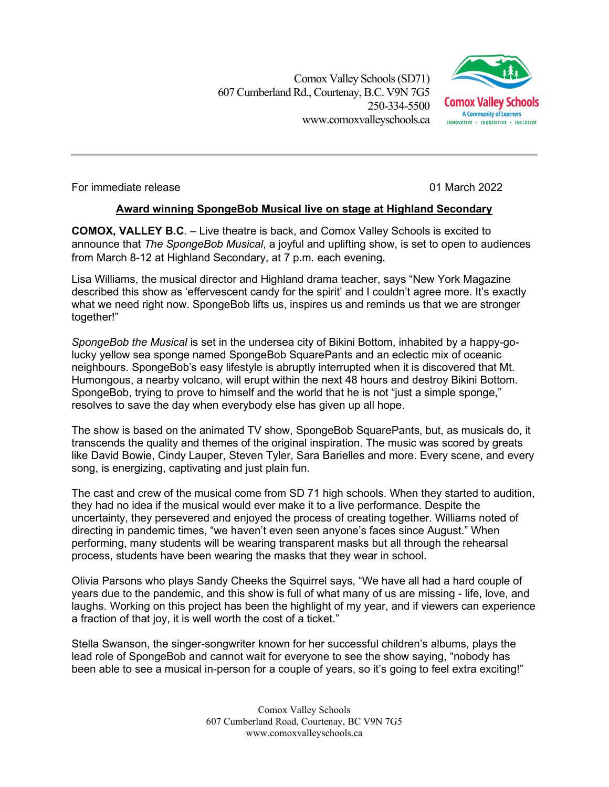Comox Valley Schools (SD71) 607 Cumberland Rd.,Courtenay, B.C. V9N 7G5 250-334-5500 www.comoxvalleyschools.ca



For immediate release 01 March 2022

## **Award winning SpongeBob Musical live on stage at Highland Secondary**

**COMOX, VALLEY B.C**. – Live theatre is back, and Comox Valley Schools is excited to announce that *The SpongeBob Musical*, a joyful and uplifting show, is set to open to audiences from March 8-12 at Highland Secondary, at 7 p.m. each evening.

Lisa Williams, the musical director and Highland drama teacher, says "New York Magazine described this show as 'effervescent candy for the spirit' and I couldn't agree more. It's exactly what we need right now. SpongeBob lifts us, inspires us and reminds us that we are stronger together!"

*SpongeBob the Musical* is set in the undersea city of Bikini Bottom, inhabited by a happy-golucky yellow sea sponge named SpongeBob SquarePants and an eclectic mix of oceanic neighbours. SpongeBob's easy lifestyle is abruptly interrupted when it is discovered that Mt. Humongous, a nearby volcano, will erupt within the next 48 hours and destroy Bikini Bottom. SpongeBob, trying to prove to himself and the world that he is not "just a simple sponge," resolves to save the day when everybody else has given up all hope.

The show is based on the animated TV show, SpongeBob SquarePants, but, as musicals do, it transcends the quality and themes of the original inspiration. The music was scored by greats like David Bowie, Cindy Lauper, Steven Tyler, Sara Barielles and more. Every scene, and every song, is energizing, captivating and just plain fun.

The cast and crew of the musical come from SD 71 high schools. When they started to audition, they had no idea if the musical would ever make it to a live performance. Despite the uncertainty, they persevered and enjoyed the process of creating together. Williams noted of directing in pandemic times, "we haven't even seen anyone's faces since August." When performing, many students will be wearing transparent masks but all through the rehearsal process, students have been wearing the masks that they wear in school.

Olivia Parsons who plays Sandy Cheeks the Squirrel says, "We have all had a hard couple of years due to the pandemic, and this show is full of what many of us are missing - life, love, and laughs. Working on this project has been the highlight of my year, and if viewers can experience a fraction of that joy, it is well worth the cost of a ticket."

Stella Swanson, the singer-songwriter known for her successful children's albums, plays the lead role of SpongeBob and cannot wait for everyone to see the show saying, "nobody has been able to see a musical in-person for a couple of years, so it's going to feel extra exciting!"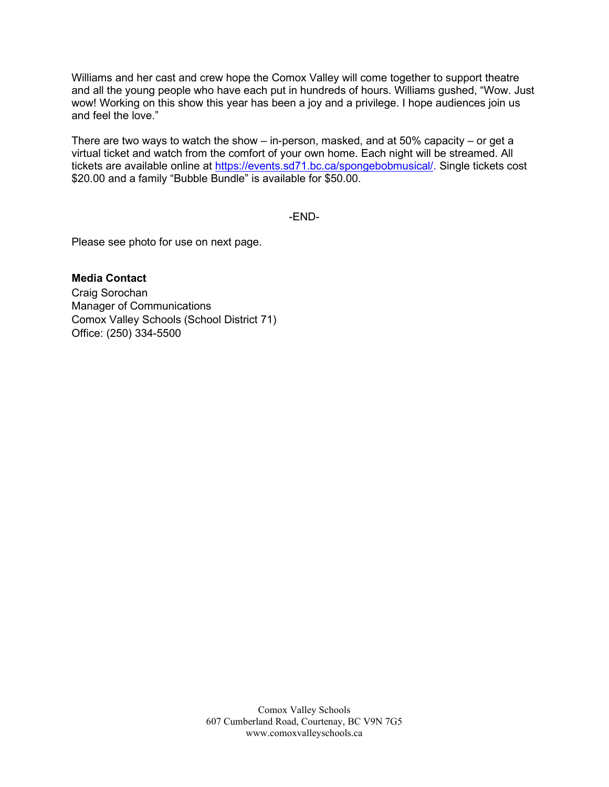Williams and her cast and crew hope the Comox Valley will come together to support theatre and all the young people who have each put in hundreds of hours. Williams gushed, "Wow. Just wow! Working on this show this year has been a joy and a privilege. I hope audiences join us and feel the love."

There are two ways to watch the show – in-person, masked, and at 50% capacity – or get a virtual ticket and watch from the comfort of your own home. Each night will be streamed. All tickets are available online at [https://events.sd71.bc.ca/spongebobmusical/.](https://events.sd71.bc.ca/spongebobmusical/) Single tickets cost \$20.00 and a family "Bubble Bundle" is available for \$50.00.

-END-

Please see photo for use on next page.

**Media Contact** Craig Sorochan Manager of Communications Comox Valley Schools (School District 71) Office: (250) 334-5500

> Comox Valley Schools 607 Cumberland Road, Courtenay, BC V9N 7G5 www.comoxvalleyschools.ca